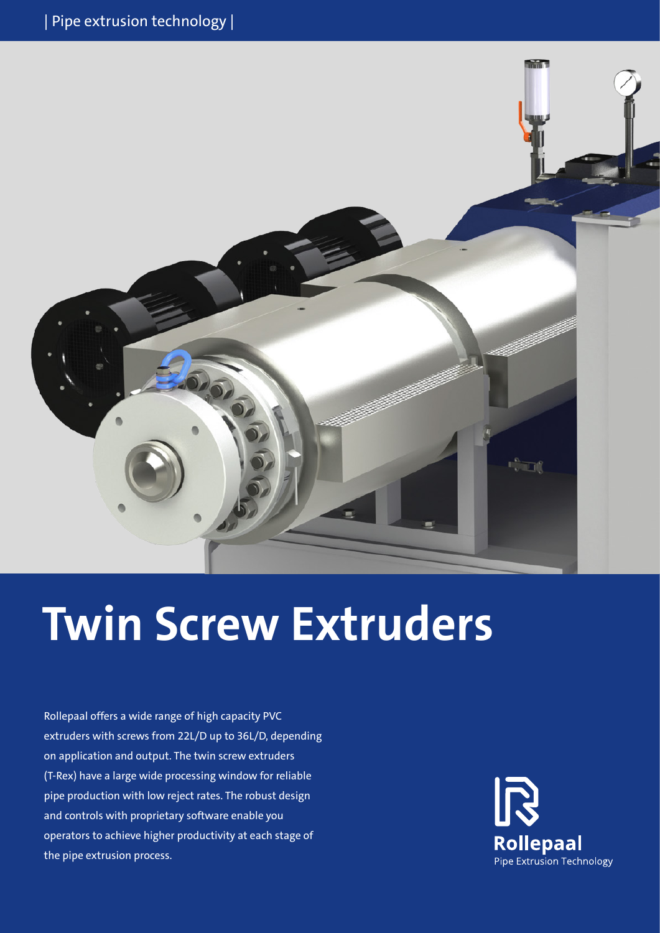

# **Twin Screw Extruders**

Rollepaal offers a wide range of high capacity PVC extruders with screws from 22L/D up to 36L/D, depending on application and output. The twin screw extruders (T-Rex) have a large wide processing window for reliable pipe production with low reject rates. The robust design and controls with proprietary software enable you operators to achieve higher productivity at each stage of the pipe extrusion process.